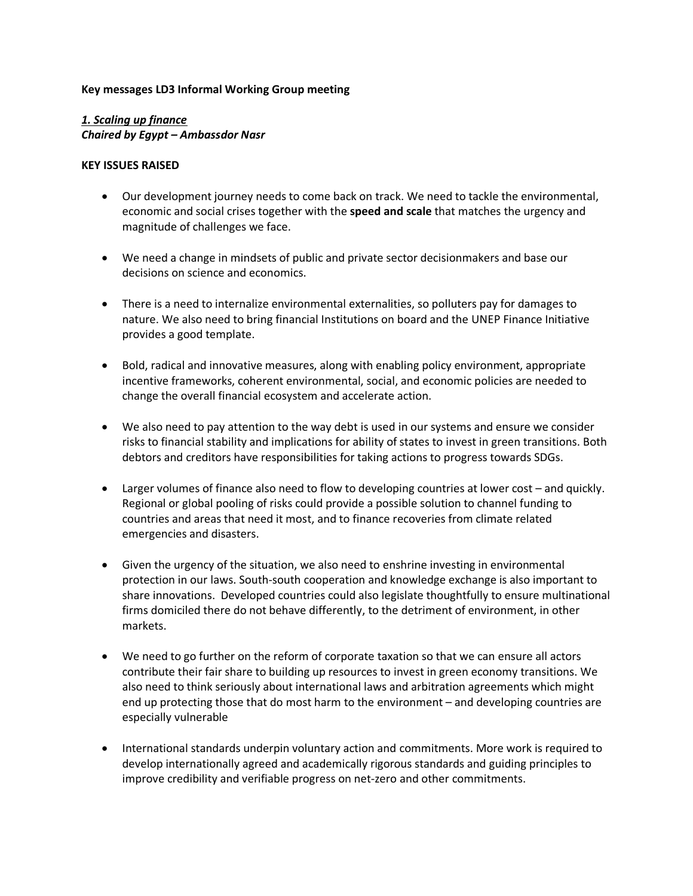#### **Key messages LD3 Informal Working Group meeting**

# *1. Scaling up finance Chaired by Egypt – Ambassdor Nasr*

#### **KEY ISSUES RAISED**

- Our development journey needs to come back on track. We need to tackle the environmental, economic and social crises together with the **speed and scale** that matches the urgency and magnitude of challenges we face.
- We need a change in mindsets of public and private sector decisionmakers and base our decisions on science and economics.
- There is a need to internalize environmental externalities, so polluters pay for damages to nature. We also need to bring financial Institutions on board and the UNEP Finance Initiative provides a good template.
- Bold, radical and innovative measures, along with enabling policy environment, appropriate incentive frameworks, coherent environmental, social, and economic policies are needed to change the overall financial ecosystem and accelerate action.
- We also need to pay attention to the way debt is used in our systems and ensure we consider risks to financial stability and implications for ability of states to invest in green transitions. Both debtors and creditors have responsibilities for taking actions to progress towards SDGs.
- Larger volumes of finance also need to flow to developing countries at lower cost and quickly. Regional or global pooling of risks could provide a possible solution to channel funding to countries and areas that need it most, and to finance recoveries from climate related emergencies and disasters.
- Given the urgency of the situation, we also need to enshrine investing in environmental protection in our laws. South-south cooperation and knowledge exchange is also important to share innovations. Developed countries could also legislate thoughtfully to ensure multinational firms domiciled there do not behave differently, to the detriment of environment, in other markets.
- We need to go further on the reform of corporate taxation so that we can ensure all actors contribute their fair share to building up resources to invest in green economy transitions. We also need to think seriously about international laws and arbitration agreements which might end up protecting those that do most harm to the environment – and developing countries are especially vulnerable
- International standards underpin voluntary action and commitments. More work is required to develop internationally agreed and academically rigorous standards and guiding principles to improve credibility and verifiable progress on net-zero and other commitments.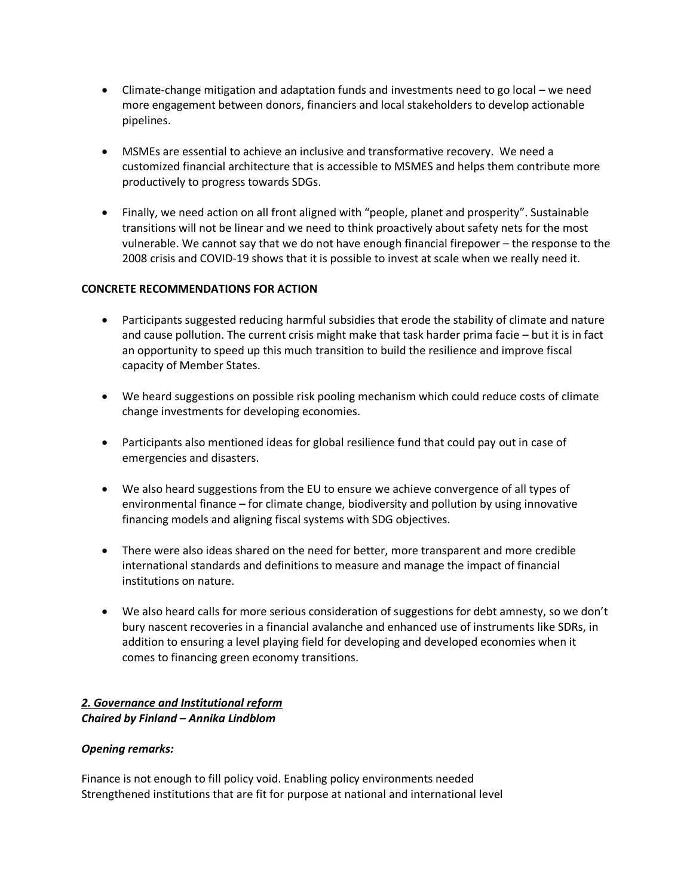- Climate-change mitigation and adaptation funds and investments need to go local we need more engagement between donors, financiers and local stakeholders to develop actionable pipelines.
- MSMEs are essential to achieve an inclusive and transformative recovery. We need a customized financial architecture that is accessible to MSMES and helps them contribute more productively to progress towards SDGs.
- Finally, we need action on all front aligned with "people, planet and prosperity". Sustainable transitions will not be linear and we need to think proactively about safety nets for the most vulnerable. We cannot say that we do not have enough financial firepower – the response to the 2008 crisis and COVID-19 shows that it is possible to invest at scale when we really need it.

### **CONCRETE RECOMMENDATIONS FOR ACTION**

- Participants suggested reducing harmful subsidies that erode the stability of climate and nature and cause pollution. The current crisis might make that task harder prima facie – but it is in fact an opportunity to speed up this much transition to build the resilience and improve fiscal capacity of Member States.
- We heard suggestions on possible risk pooling mechanism which could reduce costs of climate change investments for developing economies.
- Participants also mentioned ideas for global resilience fund that could pay out in case of emergencies and disasters.
- We also heard suggestions from the EU to ensure we achieve convergence of all types of environmental finance – for climate change, biodiversity and pollution by using innovative financing models and aligning fiscal systems with SDG objectives.
- There were also ideas shared on the need for better, more transparent and more credible international standards and definitions to measure and manage the impact of financial institutions on nature.
- We also heard calls for more serious consideration of suggestions for debt amnesty, so we don't bury nascent recoveries in a financial avalanche and enhanced use of instruments like SDRs, in addition to ensuring a level playing field for developing and developed economies when it comes to financing green economy transitions.

### *2. Governance and Institutional reform Chaired by Finland – Annika Lindblom*

#### *Opening remarks:*

Finance is not enough to fill policy void. Enabling policy environments needed Strengthened institutions that are fit for purpose at national and international level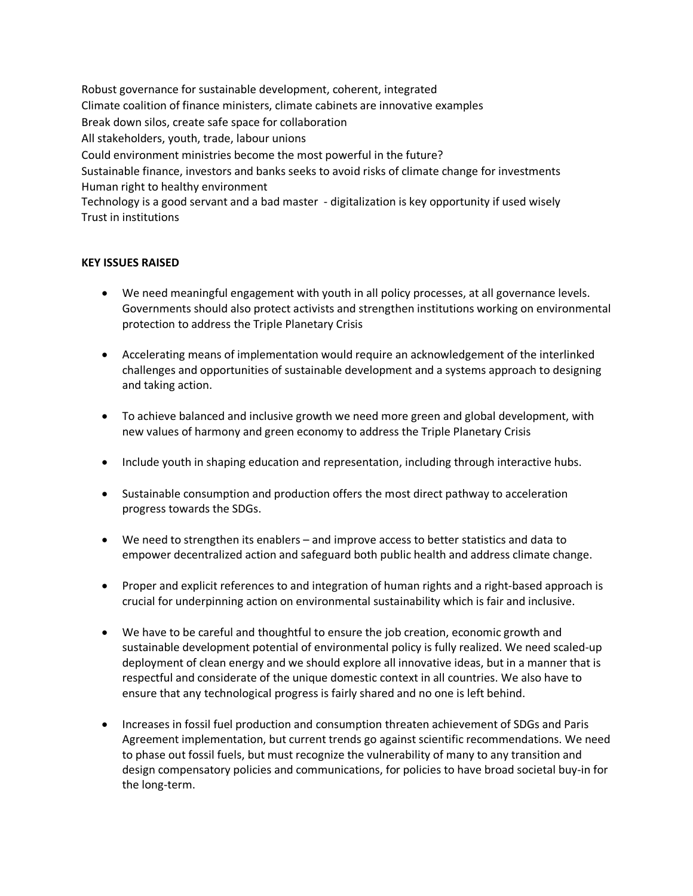Robust governance for sustainable development, coherent, integrated Climate coalition of finance ministers, climate cabinets are innovative examples Break down silos, create safe space for collaboration All stakeholders, youth, trade, labour unions Could environment ministries become the most powerful in the future? Sustainable finance, investors and banks seeks to avoid risks of climate change for investments Human right to healthy environment Technology is a good servant and a bad master - digitalization is key opportunity if used wisely Trust in institutions

### **KEY ISSUES RAISED**

- We need meaningful engagement with youth in all policy processes, at all governance levels. Governments should also protect activists and strengthen institutions working on environmental protection to address the Triple Planetary Crisis
- Accelerating means of implementation would require an acknowledgement of the interlinked challenges and opportunities of sustainable development and a systems approach to designing and taking action.
- To achieve balanced and inclusive growth we need more green and global development, with new values of harmony and green economy to address the Triple Planetary Crisis
- Include youth in shaping education and representation, including through interactive hubs.
- Sustainable consumption and production offers the most direct pathway to acceleration progress towards the SDGs.
- We need to strengthen its enablers and improve access to better statistics and data to empower decentralized action and safeguard both public health and address climate change.
- Proper and explicit references to and integration of human rights and a right-based approach is crucial for underpinning action on environmental sustainability which is fair and inclusive.
- We have to be careful and thoughtful to ensure the job creation, economic growth and sustainable development potential of environmental policy is fully realized. We need scaled-up deployment of clean energy and we should explore all innovative ideas, but in a manner that is respectful and considerate of the unique domestic context in all countries. We also have to ensure that any technological progress is fairly shared and no one is left behind.
- Increases in fossil fuel production and consumption threaten achievement of SDGs and Paris Agreement implementation, but current trends go against scientific recommendations. We need to phase out fossil fuels, but must recognize the vulnerability of many to any transition and design compensatory policies and communications, for policies to have broad societal buy-in for the long-term.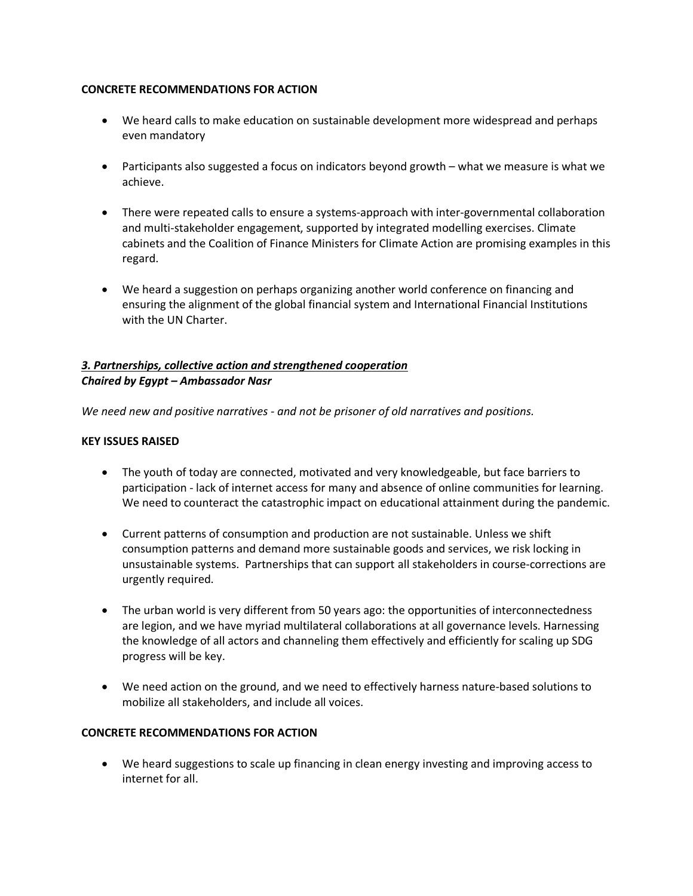### **CONCRETE RECOMMENDATIONS FOR ACTION**

- We heard calls to make education on sustainable development more widespread and perhaps even mandatory
- Participants also suggested a focus on indicators beyond growth what we measure is what we achieve.
- There were repeated calls to ensure a systems-approach with inter-governmental collaboration and multi-stakeholder engagement, supported by integrated modelling exercises. Climate cabinets and the Coalition of Finance Ministers for Climate Action are promising examples in this regard.
- We heard a suggestion on perhaps organizing another world conference on financing and ensuring the alignment of the global financial system and International Financial Institutions with the UN Charter.

## *3. Partnerships, collective action and strengthened cooperation Chaired by Egypt – Ambassador Nasr*

*We need new and positive narratives - and not be prisoner of old narratives and positions.* 

### **KEY ISSUES RAISED**

- The youth of today are connected, motivated and very knowledgeable, but face barriers to participation - lack of internet access for many and absence of online communities for learning. We need to counteract the catastrophic impact on educational attainment during the pandemic.
- Current patterns of consumption and production are not sustainable. Unless we shift consumption patterns and demand more sustainable goods and services, we risk locking in unsustainable systems. Partnerships that can support all stakeholders in course-corrections are urgently required.
- The urban world is very different from 50 years ago: the opportunities of interconnectedness are legion, and we have myriad multilateral collaborations at all governance levels. Harnessing the knowledge of all actors and channeling them effectively and efficiently for scaling up SDG progress will be key.
- We need action on the ground, and we need to effectively harness nature-based solutions to mobilize all stakeholders, and include all voices.

### **CONCRETE RECOMMENDATIONS FOR ACTION**

• We heard suggestions to scale up financing in clean energy investing and improving access to internet for all.